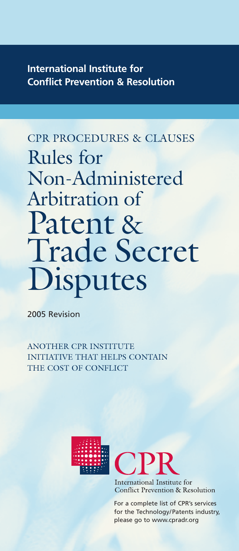# **International Institute for Conflict Prevention & Resolution**

# CPR PROCEDURES & CLAUSES Rules for Non-Administered Arbitration of Patent & Trade Secret **Disputes**

2005 Revision

ANOTHER CPR INSTITUTE INITIATIVE THAT HELPS CONTAIN THE COST OF CONFLICT





International Institute for **Conflict Prevention & Resolution** 

For a complete list of CPR's services for the Technology/Patents industry, please go to www.cpradr.org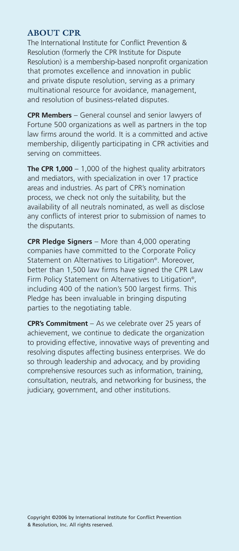#### **ABOUT CPR**

The International Institute for Conflict Prevention & Resolution (formerly the CPR Institute for Dispute Resolution) is a membership-based nonprofit organization that promotes excellence and innovation in public and private dispute resolution, serving as a primary multinational resource for avoidance, management, and resolution of business-related disputes.

**CPR Members** – General counsel and senior lawyers of Fortune 500 organizations as well as partners in the top law firms around the world. It is a committed and active membership, diligently participating in CPR activities and serving on committees.

**The CPR 1,000** – 1,000 of the highest quality arbitrators and mediators, with specialization in over 17 practice areas and industries. As part of CPR's nomination process, we check not only the suitability, but the availability of all neutrals nominated, as well as disclose any conflicts of interest prior to submission of names to the disputants.

**CPR Pledge Signers** – More than 4,000 operating companies have committed to the Corporate Policy Statement on Alternatives to Litigation<sup>®</sup>. Moreover, better than 1,500 law firms have signed the CPR Law Firm Policy Statement on Alternatives to Litigation<sup>®</sup>, including 400 of the nation's 500 largest firms. This Pledge has been invaluable in bringing disputing parties to the negotiating table.

**CPR's Commitment** – As we celebrate over 25 years of achievement, we continue to dedicate the organization to providing effective, innovative ways of preventing and resolving disputes affecting business enterprises. We do so through leadership and advocacy, and by providing comprehensive resources such as information, training, consultation, neutrals, and networking for business, the judiciary, government, and other institutions.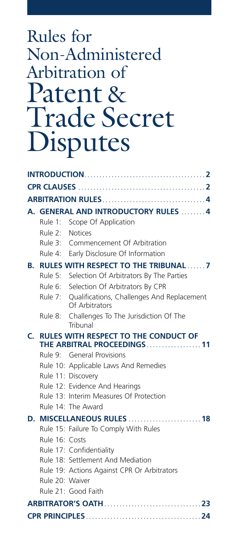# Rules for Non-Administered Arbitration of Patent & Trade Secret Disputes

|    |                                                                           | A. GENERAL AND INTRODUCTORY RULES  4                                 |
|----|---------------------------------------------------------------------------|----------------------------------------------------------------------|
|    |                                                                           | Rule 1: Scope Of Application                                         |
|    | Rule 2: Notices                                                           |                                                                      |
|    |                                                                           | Rule 3: Commencement Of Arbitration                                  |
|    |                                                                           | Rule 4: Early Disclosure Of Information                              |
| В. | <b>RULES WITH RESPECT TO THE TRIBUNAL7</b>                                |                                                                      |
|    |                                                                           | Rule 5: Selection Of Arbitrators By The Parties                      |
|    |                                                                           | Rule 6: Selection Of Arbitrators By CPR                              |
|    |                                                                           | Rule 7: Qualifications, Challenges And Replacement<br>Of Arbitrators |
|    | Rule 8:                                                                   | Challenges To The Jurisdiction Of The<br>Tribunal                    |
| C. | <b>RULES WITH RESPECT TO THE CONDUCT OF</b><br>THE ARBITRAL PROCEEDINGS11 |                                                                      |
|    |                                                                           | Rule 9: General Provisions                                           |
|    |                                                                           | Rule 10: Applicable Laws And Remedies                                |
|    |                                                                           | Rule 11: Discovery                                                   |
|    |                                                                           | Rule 12: Evidence And Hearings                                       |
|    |                                                                           | Rule 13: Interim Measures Of Protection                              |
|    |                                                                           | Rule 14: The Award                                                   |
| D. |                                                                           | <b>MISCELLANEOUS RULES</b> 18                                        |
|    |                                                                           | Rule 15: Failure To Comply With Rules                                |
|    | Rule 16: Costs                                                            |                                                                      |
|    |                                                                           | Rule 17: Confidentiality                                             |
|    |                                                                           | Rule 18: Settlement And Mediation                                    |
|    |                                                                           | Rule 19: Actions Against CPR Or Arbitrators                          |
|    | Rule 20: Waiver                                                           |                                                                      |
|    |                                                                           | Rule 21: Good Faith                                                  |
|    |                                                                           |                                                                      |
|    |                                                                           |                                                                      |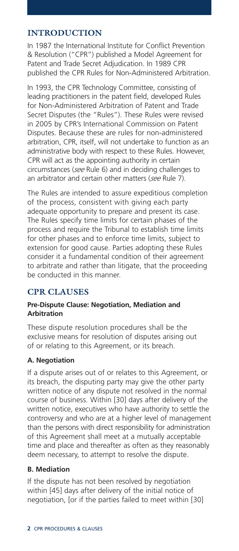#### **INTRODUCTION**

In 1987 the International Institute for Conflict Prevention & Resolution ("CPR") published a Model Agreement for Patent and Trade Secret Adjudication. In 1989 CPR published the CPR Rules for Non-Administered Arbitration.

In 1993, the CPR Technology Committee, consisting of leading practitioners in the patent field, developed Rules for Non-Administered Arbitration of Patent and Trade Secret Disputes (the "Rules"). These Rules were revised in 2005 by CPR's International Commission on Patent Disputes. Because these are rules for non-administered arbitration, CPR, itself, will not undertake to function as an administrative body with respect to these Rules. However, CPR will act as the appointing authority in certain circumstances (*see* Rule 6) and in deciding challenges to an arbitrator and certain other matters (*see* Rule 7).

The Rules are intended to assure expeditious completion of the process, consistent with giving each party adequate opportunity to prepare and present its case. The Rules specify time limits for certain phases of the process and require the Tribunal to establish time limits for other phases and to enforce time limits, subject to extension for good cause. Parties adopting these Rules consider it a fundamental condition of their agreement to arbitrate and rather than litigate, that the proceeding be conducted in this manner.

#### **CPR CLAUSES**

#### **Pre-Dispute Clause: Negotiation, Mediation and Arbitration**

These dispute resolution procedures shall be the exclusive means for resolution of disputes arising out of or relating to this Agreement, or its breach.

#### **A. Negotiation**

If a dispute arises out of or relates to this Agreement, or its breach, the disputing party may give the other party written notice of any dispute not resolved in the normal course of business. Within [30] days after delivery of the written notice, executives who have authority to settle the controversy and who are at a higher level of management than the persons with direct responsibility for administration of this Agreement shall meet at a mutually acceptable time and place and thereafter as often as they reasonably deem necessary, to attempt to resolve the dispute.

#### **B. Mediation**

If the dispute has not been resolved by negotiation within [45] days after delivery of the initial notice of negotiation, [or if the parties failed to meet within [30]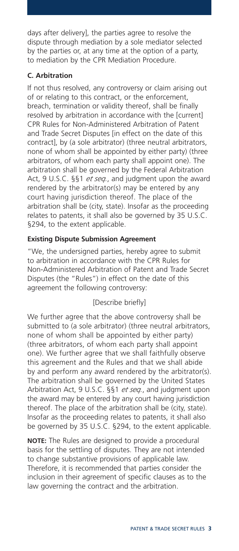days after delivery], the parties agree to resolve the dispute through mediation by a sole mediator selected by the parties or, at any time at the option of a party, to mediation by the CPR Mediation Procedure.

#### **C. Arbitration**

If not thus resolved, any controversy or claim arising out of or relating to this contract, or the enforcement, breach, termination or validity thereof, shall be finally resolved by arbitration in accordance with the [current] CPR Rules for Non-Administered Arbitration of Patent and Trade Secret Disputes [in effect on the date of this contract], by (a sole arbitrator) (three neutral arbitrators, none of whom shall be appointed by either party) (three arbitrators, of whom each party shall appoint one). The arbitration shall be governed by the Federal Arbitration Act, 9 U.S.C. §§1 *et seq.*, and judgment upon the award rendered by the arbitrator(s) may be entered by any court having jurisdiction thereof. The place of the arbitration shall be (city, state). Insofar as the proceeding relates to patents, it shall also be governed by 35 U.S.C. §294, to the extent applicable.

#### **Existing Dispute Submission Agreement**

"We, the undersigned parties, hereby agree to submit to arbitration in accordance with the CPR Rules for Non-Administered Arbitration of Patent and Trade Secret Disputes (the "Rules") in effect on the date of this agreement the following controversy:

#### [Describe briefly]

We further agree that the above controversy shall be submitted to (a sole arbitrator) (three neutral arbitrators, none of whom shall be appointed by either party) (three arbitrators, of whom each party shall appoint one). We further agree that we shall faithfully observe this agreement and the Rules and that we shall abide by and perform any award rendered by the arbitrator(s). The arbitration shall be governed by the United States Arbitration Act, 9 U.S.C. §§1 *et seq.*, and judgment upon the award may be entered by any court having jurisdiction thereof. The place of the arbitration shall be (city, state). Insofar as the proceeding relates to patents, it shall also be governed by 35 U.S.C. §294, to the extent applicable.

**NOTE:** The Rules are designed to provide a procedural basis for the settling of disputes. They are not intended to change substantive provisions of applicable law. Therefore, it is recommended that parties consider the inclusion in their agreement of specific clauses as to the law governing the contract and the arbitration.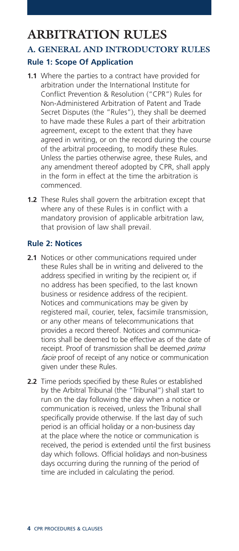# **ARBITRATION RULES**

## **A. GENERAL AND INTRODUCTORY RULES Rule 1: Scope Of Application**

- **1.1** Where the parties to a contract have provided for arbitration under the International Institute for Conflict Prevention & Resolution ("CPR") Rules for Non-Administered Arbitration of Patent and Trade Secret Disputes (the "Rules"), they shall be deemed to have made these Rules a part of their arbitration agreement, except to the extent that they have agreed in writing, or on the record during the course of the arbitral proceeding, to modify these Rules. Unless the parties otherwise agree, these Rules, and any amendment thereof adopted by CPR, shall apply in the form in effect at the time the arbitration is commenced.
- **1.2** These Rules shall govern the arbitration except that where any of these Rules is in conflict with a mandatory provision of applicable arbitration law, that provision of law shall prevail.

#### **Rule 2: Notices**

- **2.1** Notices or other communications required under these Rules shall be in writing and delivered to the address specified in writing by the recipient or, if no address has been specified, to the last known business or residence address of the recipient. Notices and communications may be given by registered mail, courier, telex, facsimile transmission, or any other means of telecommunications that provides a record thereof. Notices and communications shall be deemed to be effective as of the date of receipt. Proof of transmission shall be deemed *prima facie* proof of receipt of any notice or communication given under these Rules.
- **2.2** Time periods specified by these Rules or established by the Arbitral Tribunal (the "Tribunal") shall start to run on the day following the day when a notice or communication is received, unless the Tribunal shall specifically provide otherwise. If the last day of such period is an official holiday or a non-business day at the place where the notice or communication is received, the period is extended until the first business day which follows. Official holidays and non-business days occurring during the running of the period of time are included in calculating the period.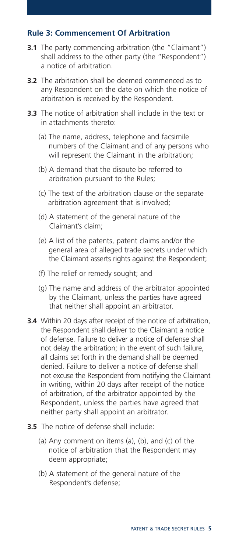#### **Rule 3: Commencement Of Arbitration**

- **3.1** The party commencing arbitration (the "Claimant") shall address to the other party (the "Respondent") a notice of arbitration.
- **3.2** The arbitration shall be deemed commenced as to any Respondent on the date on which the notice of arbitration is received by the Respondent.
- **3.3** The notice of arbitration shall include in the text or in attachments thereto:
	- (a) The name, address, telephone and facsimile numbers of the Claimant and of any persons who will represent the Claimant in the arbitration;
	- (b) A demand that the dispute be referred to arbitration pursuant to the Rules;
	- (c) The text of the arbitration clause or the separate arbitration agreement that is involved;
	- (d) A statement of the general nature of the Claimant's claim;
	- (e) A list of the patents, patent claims and/or the general area of alleged trade secrets under which the Claimant asserts rights against the Respondent;
	- (f) The relief or remedy sought; and
	- (g) The name and address of the arbitrator appointed by the Claimant, unless the parties have agreed that neither shall appoint an arbitrator.
- **3.4** Within 20 days after receipt of the notice of arbitration, the Respondent shall deliver to the Claimant a notice of defense. Failure to deliver a notice of defense shall not delay the arbitration; in the event of such failure, all claims set forth in the demand shall be deemed denied. Failure to deliver a notice of defense shall not excuse the Respondent from notifying the Claimant in writing, within 20 days after receipt of the notice of arbitration, of the arbitrator appointed by the Respondent, unless the parties have agreed that neither party shall appoint an arbitrator.
- **3.5** The notice of defense shall include:
	- (a) Any comment on items (a), (b), and (c) of the notice of arbitration that the Respondent may deem appropriate;
	- (b) A statement of the general nature of the Respondent's defense;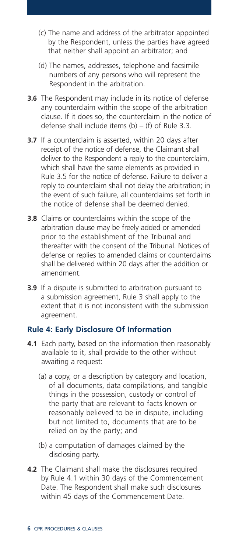- (c) The name and address of the arbitrator appointed by the Respondent, unless the parties have agreed that neither shall appoint an arbitrator; and
- (d) The names, addresses, telephone and facsimile numbers of any persons who will represent the Respondent in the arbitration.
- **3.6** The Respondent may include in its notice of defense any counterclaim within the scope of the arbitration clause. If it does so, the counterclaim in the notice of defense shall include items  $(b) - (f)$  of Rule 3.3.
- **3.7** If a counterclaim is asserted, within 20 days after receipt of the notice of defense, the Claimant shall deliver to the Respondent a reply to the counterclaim, which shall have the same elements as provided in Rule 3.5 for the notice of defense. Failure to deliver a reply to counterclaim shall not delay the arbitration; in the event of such failure, all counterclaims set forth in the notice of defense shall be deemed denied.
- **3.8** Claims or counterclaims within the scope of the arbitration clause may be freely added or amended prior to the establishment of the Tribunal and thereafter with the consent of the Tribunal. Notices of defense or replies to amended claims or counterclaims shall be delivered within 20 days after the addition or amendment.
- **3.9** If a dispute is submitted to arbitration pursuant to a submission agreement, Rule 3 shall apply to the extent that it is not inconsistent with the submission agreement.

#### **Rule 4: Early Disclosure Of Information**

- **4.1** Each party, based on the information then reasonably available to it, shall provide to the other without awaiting a request:
	- (a) a copy, or a description by category and location, of all documents, data compilations, and tangible things in the possession, custody or control of the party that are relevant to facts known or reasonably believed to be in dispute, including but not limited to, documents that are to be relied on by the party; and
	- (b) a computation of damages claimed by the disclosing party.
- **4.2** The Claimant shall make the disclosures required by Rule 4.1 within 30 days of the Commencement Date. The Respondent shall make such disclosures within 45 days of the Commencement Date.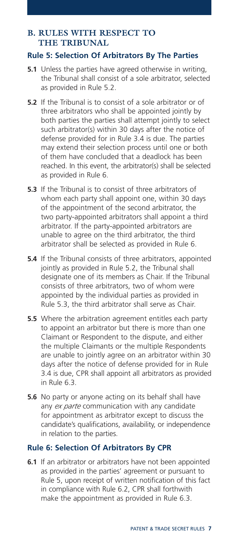#### **B. RULES WITH RESPECT TO THE TRIBUNAL**

#### **Rule 5: Selection Of Arbitrators By The Parties**

- **5.1** Unless the parties have agreed otherwise in writing. the Tribunal shall consist of a sole arbitrator, selected as provided in Rule 5.2.
- **5.2** If the Tribunal is to consist of a sole arbitrator or of three arbitrators who shall be appointed jointly by both parties the parties shall attempt jointly to select such arbitrator(s) within 30 days after the notice of defense provided for in Rule 3.4 is due. The parties may extend their selection process until one or both of them have concluded that a deadlock has been reached. In this event, the arbitrator(s) shall be selected as provided in Rule 6.
- **5.3** If the Tribunal is to consist of three arbitrators of whom each party shall appoint one, within 30 days of the appointment of the second arbitrator, the two party-appointed arbitrators shall appoint a third arbitrator. If the party-appointed arbitrators are unable to agree on the third arbitrator, the third arbitrator shall be selected as provided in Rule 6.
- **5.4** If the Tribunal consists of three arbitrators, appointed jointly as provided in Rule 5.2, the Tribunal shall designate one of its members as Chair. If the Tribunal consists of three arbitrators, two of whom were appointed by the individual parties as provided in Rule 5.3, the third arbitrator shall serve as Chair.
- **5.5** Where the arbitration agreement entitles each party to appoint an arbitrator but there is more than one Claimant or Respondent to the dispute, and either the multiple Claimants or the multiple Respondents are unable to jointly agree on an arbitrator within 30 days after the notice of defense provided for in Rule 3.4 is due, CPR shall appoint all arbitrators as provided in Rule 6.3.
- **5.6** No party or anyone acting on its behalf shall have any *ex parte* communication with any candidate for appointment as arbitrator except to discuss the candidate's qualifications, availability, or independence in relation to the parties.

#### **Rule 6: Selection Of Arbitrators By CPR**

**6.1** If an arbitrator or arbitrators have not been appointed as provided in the parties' agreement or pursuant to Rule 5, upon receipt of written notification of this fact in compliance with Rule 6.2, CPR shall forthwith make the appointment as provided in Rule 6.3.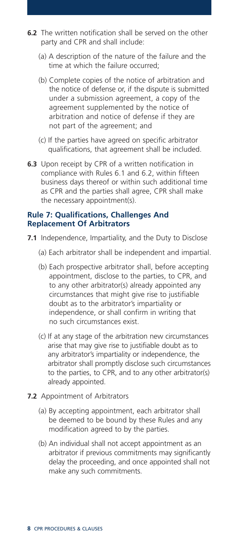- **6.2** The written notification shall be served on the other party and CPR and shall include:
	- (a) A description of the nature of the failure and the time at which the failure occurred;
	- (b) Complete copies of the notice of arbitration and the notice of defense or, if the dispute is submitted under a submission agreement, a copy of the agreement supplemented by the notice of arbitration and notice of defense if they are not part of the agreement; and
	- (c) If the parties have agreed on specific arbitrator qualifications, that agreement shall be included.
- **6.3** Upon receipt by CPR of a written notification in compliance with Rules 6.1 and 6.2, within fifteen business days thereof or within such additional time as CPR and the parties shall agree, CPR shall make the necessary appointment(s).

#### **Rule 7: Qualifications, Challenges And Replacement Of Arbitrators**

- **7.1** Independence, Impartiality, and the Duty to Disclose
	- (a) Each arbitrator shall be independent and impartial.
	- (b) Each prospective arbitrator shall, before accepting appointment, disclose to the parties, to CPR, and to any other arbitrator(s) already appointed any circumstances that might give rise to justifiable doubt as to the arbitrator's impartiality or independence, or shall confirm in writing that no such circumstances exist.
	- (c) If at any stage of the arbitration new circumstances arise that may give rise to justifiable doubt as to any arbitrator's impartiality or independence, the arbitrator shall promptly disclose such circumstances to the parties, to CPR, and to any other arbitrator(s) already appointed.
- **7.2** Appointment of Arbitrators
	- (a) By accepting appointment, each arbitrator shall be deemed to be bound by these Rules and any modification agreed to by the parties.
	- (b) An individual shall not accept appointment as an arbitrator if previous commitments may significantly delay the proceeding, and once appointed shall not make any such commitments.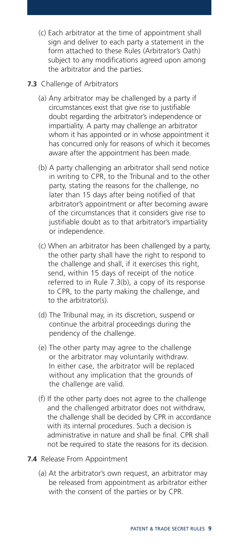- (c) Each arbitrator at the time of appointment shall sign and deliver to each party a statement in the form attached to these Rules (Arbitrator's Oath) subject to any modifications agreed upon among the arbitrator and the parties.
- **7.3** Challenge of Arbitrators
	- (a) Any arbitrator may be challenged by a party if circumstances exist that give rise to justifiable doubt regarding the arbitrator's independence or impartiality. A party may challenge an arbitrator whom it has appointed or in whose appointment it has concurred only for reasons of which it becomes aware after the appointment has been made.
	- (b) A party challenging an arbitrator shall send notice in writing to CPR, to the Tribunal and to the other party, stating the reasons for the challenge, no later than 15 days after being notified of that arbitrator's appointment or after becoming aware of the circumstances that it considers give rise to justifiable doubt as to that arbitrator's impartiality or independence.
	- (c) When an arbitrator has been challenged by a party, the other party shall have the right to respond to the challenge and shall, if it exercises this right, send, within 15 days of receipt of the notice referred to in Rule 7.3(b), a copy of its response to CPR, to the party making the challenge, and to the arbitrator(s).
	- (d) The Tribunal may, in its discretion, suspend or continue the arbitral proceedings during the pendency of the challenge.
	- (e) The other party may agree to the challenge or the arbitrator may voluntarily withdraw. In either case, the arbitrator will be replaced without any implication that the grounds of the challenge are valid.
	- (f) If the other party does not agree to the challenge and the challenged arbitrator does not withdraw, the challenge shall be decided by CPR in accordance with its internal procedures. Such a decision is administrative in nature and shall be final. CPR shall not be required to state the reasons for its decision.
- **7.4** Release From Appointment
	- (a) At the arbitrator's own request, an arbitrator may be released from appointment as arbitrator either with the consent of the parties or by CPR.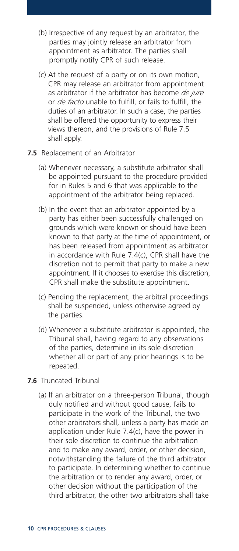- (b) Irrespective of any request by an arbitrator, the parties may jointly release an arbitrator from appointment as arbitrator. The parties shall promptly notify CPR of such release.
- (c) At the request of a party or on its own motion, CPR may release an arbitrator from appointment as arbitrator if the arbitrator has become *de jure* or *de facto* unable to fulfill, or fails to fulfill, the duties of an arbitrator. In such a case, the parties shall be offered the opportunity to express their views thereon, and the provisions of Rule 7.5 shall apply.
- **7.5** Replacement of an Arbitrator
	- (a) Whenever necessary, a substitute arbitrator shall be appointed pursuant to the procedure provided for in Rules 5 and 6 that was applicable to the appointment of the arbitrator being replaced.
	- (b) In the event that an arbitrator appointed by a party has either been successfully challenged on grounds which were known or should have been known to that party at the time of appointment, or has been released from appointment as arbitrator in accordance with Rule 7.4(c), CPR shall have the discretion not to permit that party to make a new appointment. If it chooses to exercise this discretion, CPR shall make the substitute appointment.
	- (c) Pending the replacement, the arbitral proceedings shall be suspended, unless otherwise agreed by the parties.
	- (d) Whenever a substitute arbitrator is appointed, the Tribunal shall, having regard to any observations of the parties, determine in its sole discretion whether all or part of any prior hearings is to be repeated.
- **7.6** Truncated Tribunal
	- (a) If an arbitrator on a three-person Tribunal, though duly notified and without good cause, fails to participate in the work of the Tribunal, the two other arbitrators shall, unless a party has made an application under Rule 7.4(c), have the power in their sole discretion to continue the arbitration and to make any award, order, or other decision, notwithstanding the failure of the third arbitrator to participate. In determining whether to continue the arbitration or to render any award, order, or other decision without the participation of the third arbitrator, the other two arbitrators shall take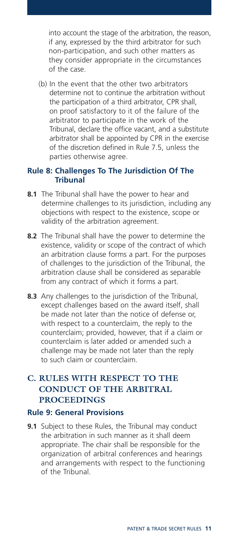into account the stage of the arbitration, the reason, if any, expressed by the third arbitrator for such non-participation, and such other matters as they consider appropriate in the circumstances of the case.

(b) In the event that the other two arbitrators determine not to continue the arbitration without the participation of a third arbitrator, CPR shall, on proof satisfactory to it of the failure of the arbitrator to participate in the work of the Tribunal, declare the office vacant, and a substitute arbitrator shall be appointed by CPR in the exercise of the discretion defined in Rule 7.5, unless the parties otherwise agree.

#### **Rule 8: Challenges To The Jurisdiction Of The Tribunal**

- **8.1** The Tribunal shall have the power to hear and determine challenges to its jurisdiction, including any objections with respect to the existence, scope or validity of the arbitration agreement.
- **8.2** The Tribunal shall have the power to determine the existence, validity or scope of the contract of which an arbitration clause forms a part. For the purposes of challenges to the jurisdiction of the Tribunal, the arbitration clause shall be considered as separable from any contract of which it forms a part.
- **8.3** Any challenges to the jurisdiction of the Tribunal, except challenges based on the award itself, shall be made not later than the notice of defense or, with respect to a counterclaim, the reply to the counterclaim; provided, however, that if a claim or counterclaim is later added or amended such a challenge may be made not later than the reply to such claim or counterclaim.

#### **C. RULES WITH RESPECT TO THE CONDUCT OF THE ARBITRAL PROCEEDINGS**

#### **Rule 9: General Provisions**

**9.1** Subject to these Rules, the Tribunal may conduct the arbitration in such manner as it shall deem appropriate. The chair shall be responsible for the organization of arbitral conferences and hearings and arrangements with respect to the functioning of the Tribunal.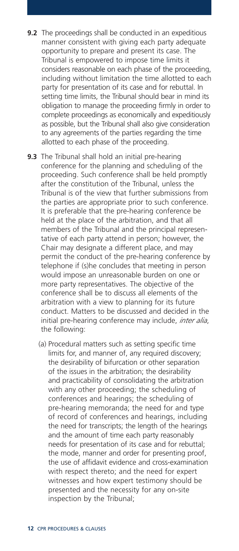- **9.2** The proceedings shall be conducted in an expeditious manner consistent with giving each party adequate opportunity to prepare and present its case. The Tribunal is empowered to impose time limits it considers reasonable on each phase of the proceeding, including without limitation the time allotted to each party for presentation of its case and for rebuttal. In setting time limits, the Tribunal should bear in mind its obligation to manage the proceeding firmly in order to complete proceedings as economically and expeditiously as possible, but the Tribunal shall also give consideration to any agreements of the parties regarding the time allotted to each phase of the proceeding.
- **9.3** The Tribunal shall hold an initial pre-hearing conference for the planning and scheduling of the proceeding. Such conference shall be held promptly after the constitution of the Tribunal, unless the Tribunal is of the view that further submissions from the parties are appropriate prior to such conference. It is preferable that the pre-hearing conference be held at the place of the arbitration, and that all members of the Tribunal and the principal representative of each party attend in person; however, the Chair may designate a different place, and may permit the conduct of the pre-hearing conference by telephone if (s)he concludes that meeting in person would impose an unreasonable burden on one or more party representatives. The objective of the conference shall be to discuss all elements of the arbitration with a view to planning for its future conduct. Matters to be discussed and decided in the initial pre-hearing conference may include, *inter alia*, the following:
	- (a) Procedural matters such as setting specific time limits for, and manner of, any required discovery; the desirability of bifurcation or other separation of the issues in the arbitration; the desirability and practicability of consolidating the arbitration with any other proceeding; the scheduling of conferences and hearings; the scheduling of pre-hearing memoranda; the need for and type of record of conferences and hearings, including the need for transcripts; the length of the hearings and the amount of time each party reasonably needs for presentation of its case and for rebuttal; the mode, manner and order for presenting proof, the use of affidavit evidence and cross-examination with respect thereto; and the need for expert witnesses and how expert testimony should be presented and the necessity for any on-site inspection by the Tribunal;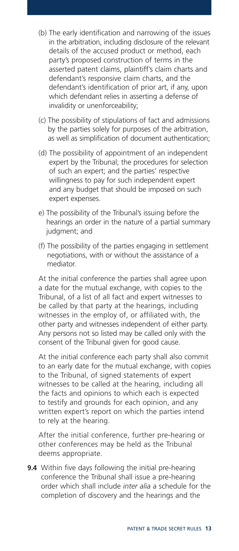- (b) The early identification and narrowing of the issues in the arbitration, including disclosure of the relevant details of the accused product or method, each party's proposed construction of terms in the asserted patent claims, plaintiff's claim charts and defendant's responsive claim charts, and the defendant's identification of prior art, if any, upon which defendant relies in asserting a defense of invalidity or unenforceability;
- (c) The possibility of stipulations of fact and admissions by the parties solely for purposes of the arbitration, as well as simplification of document authentication;
- (d) The possibility of appointment of an independent expert by the Tribunal; the procedures for selection of such an expert; and the parties' respective willingness to pay for such independent expert and any budget that should be imposed on such expert expenses.
- e) The possibility of the Tribunal's issuing before the hearings an order in the nature of a partial summary judgment; and
- (f) The possibility of the parties engaging in settlement negotiations, with or without the assistance of a mediator.

At the initial conference the parties shall agree upon a date for the mutual exchange, with copies to the Tribunal, of a list of all fact and expert witnesses to be called by that party at the hearings, including witnesses in the employ of, or affiliated with, the other party and witnesses independent of either party. Any persons not so listed may be called only with the consent of the Tribunal given for good cause.

At the initial conference each party shall also commit to an early date for the mutual exchange, with copies to the Tribunal, of signed statements of expert witnesses to be called at the hearing, including all the facts and opinions to which each is expected to testify and grounds for each opinion, and any written expert's report on which the parties intend to rely at the hearing.

After the initial conference, further pre-hearing or other conferences may be held as the Tribunal deems appropriate.

**9.4** Within five days following the initial pre-hearing conference the Tribunal shall issue a pre-hearing order which shall include *inter alia* a schedule for the completion of discovery and the hearings and the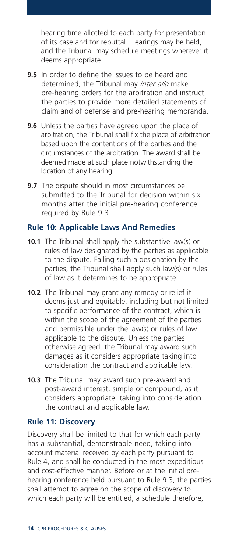hearing time allotted to each party for presentation of its case and for rebuttal. Hearings may be held, and the Tribunal may schedule meetings wherever it deems appropriate.

- **9.5** In order to define the issues to be heard and determined, the Tribunal may *inter alia* make pre-hearing orders for the arbitration and instruct the parties to provide more detailed statements of claim and of defense and pre-hearing memoranda.
- **9.6** Unless the parties have agreed upon the place of arbitration, the Tribunal shall fix the place of arbitration based upon the contentions of the parties and the circumstances of the arbitration. The award shall be deemed made at such place notwithstanding the location of any hearing.
- **9.7** The dispute should in most circumstances be submitted to the Tribunal for decision within six months after the initial pre-hearing conference required by Rule 9.3.

#### **Rule 10: Applicable Laws And Remedies**

- **10.1** The Tribunal shall apply the substantive law(s) or rules of law designated by the parties as applicable to the dispute. Failing such a designation by the parties, the Tribunal shall apply such law(s) or rules of law as it determines to be appropriate.
- **10.2** The Tribunal may grant any remedy or relief it deems just and equitable, including but not limited to specific performance of the contract, which is within the scope of the agreement of the parties and permissible under the law(s) or rules of law applicable to the dispute. Unless the parties otherwise agreed, the Tribunal may award such damages as it considers appropriate taking into consideration the contract and applicable law.
- **10.3** The Tribunal may award such pre-award and post-award interest, simple or compound, as it considers appropriate, taking into consideration the contract and applicable law.

#### **Rule 11: Discovery**

Discovery shall be limited to that for which each party has a substantial, demonstrable need, taking into account material received by each party pursuant to Rule 4, and shall be conducted in the most expeditious and cost-effective manner. Before or at the initial prehearing conference held pursuant to Rule 9.3, the parties shall attempt to agree on the scope of discovery to which each party will be entitled, a schedule therefore,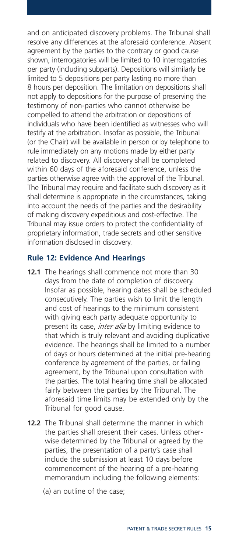and on anticipated discovery problems. The Tribunal shall resolve any differences at the aforesaid conference. Absent agreement by the parties to the contrary or good cause shown, interrogatories will be limited to 10 interrogatories per party (including subparts). Depositions will similarly be limited to 5 depositions per party lasting no more than 8 hours per deposition. The limitation on depositions shall not apply to depositions for the purpose of preserving the testimony of non-parties who cannot otherwise be compelled to attend the arbitration or depositions of individuals who have been identified as witnesses who will testify at the arbitration. Insofar as possible, the Tribunal (or the Chair) will be available in person or by telephone to rule immediately on any motions made by either party related to discovery. All discovery shall be completed within 60 days of the aforesaid conference, unless the parties otherwise agree with the approval of the Tribunal. The Tribunal may require and facilitate such discovery as it shall determine is appropriate in the circumstances, taking into account the needs of the parties and the desirability of making discovery expeditious and cost-effective. The Tribunal may issue orders to protect the confidentiality of proprietary information, trade secrets and other sensitive information disclosed in discovery.

#### **Rule 12: Evidence And Hearings**

- **12.1** The hearings shall commence not more than 30 days from the date of completion of discovery. Insofar as possible, hearing dates shall be scheduled consecutively. The parties wish to limit the length and cost of hearings to the minimum consistent with giving each party adequate opportunity to present its case, *inter alia* by limiting evidence to that which is truly relevant and avoiding duplicative evidence. The hearings shall be limited to a number of days or hours determined at the initial pre-hearing conference by agreement of the parties, or failing agreement, by the Tribunal upon consultation with the parties. The total hearing time shall be allocated fairly between the parties by the Tribunal. The aforesaid time limits may be extended only by the Tribunal for good cause.
- **12.2** The Tribunal shall determine the manner in which the parties shall present their cases. Unless otherwise determined by the Tribunal or agreed by the parties, the presentation of a party's case shall include the submission at least 10 days before commencement of the hearing of a pre-hearing memorandum including the following elements:
	- (a) an outline of the case;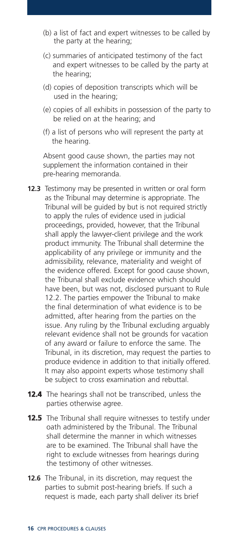- (b) a list of fact and expert witnesses to be called by the party at the hearing;
- (c) summaries of anticipated testimony of the fact and expert witnesses to be called by the party at the hearing;
- (d) copies of deposition transcripts which will be used in the hearing;
- (e) copies of all exhibits in possession of the party to be relied on at the hearing; and
- (f) a list of persons who will represent the party at the hearing.

Absent good cause shown, the parties may not supplement the information contained in their pre-hearing memoranda.

- **12.3** Testimony may be presented in written or oral form as the Tribunal may determine is appropriate. The Tribunal will be guided by but is not required strictly to apply the rules of evidence used in judicial proceedings, provided, however, that the Tribunal shall apply the lawyer-client privilege and the work product immunity. The Tribunal shall determine the applicability of any privilege or immunity and the admissibility, relevance, materiality and weight of the evidence offered. Except for good cause shown, the Tribunal shall exclude evidence which should have been, but was not, disclosed pursuant to Rule 12.2. The parties empower the Tribunal to make the final determination of what evidence is to be admitted, after hearing from the parties on the issue. Any ruling by the Tribunal excluding arguably relevant evidence shall not be grounds for vacation of any award or failure to enforce the same. The Tribunal, in its discretion, may request the parties to produce evidence in addition to that initially offered. It may also appoint experts whose testimony shall be subject to cross examination and rebuttal.
- **12.4** The hearings shall not be transcribed, unless the parties otherwise agree.
- **12.5** The Tribunal shall require witnesses to testify under oath administered by the Tribunal. The Tribunal shall determine the manner in which witnesses are to be examined. The Tribunal shall have the right to exclude witnesses from hearings during the testimony of other witnesses.
- **12.6** The Tribunal, in its discretion, may request the parties to submit post-hearing briefs. If such a request is made, each party shall deliver its brief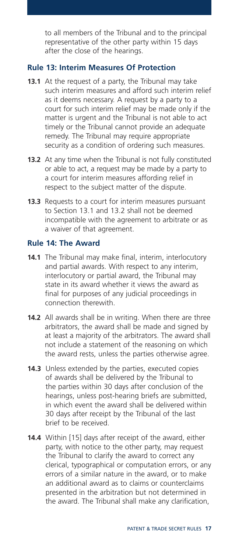to all members of the Tribunal and to the principal representative of the other party within 15 days after the close of the hearings.

#### **Rule 13: Interim Measures Of Protection**

- **13.1** At the request of a party, the Tribunal may take such interim measures and afford such interim relief as it deems necessary. A request by a party to a court for such interim relief may be made only if the matter is urgent and the Tribunal is not able to act timely or the Tribunal cannot provide an adequate remedy. The Tribunal may require appropriate security as a condition of ordering such measures.
- **13.2** At any time when the Tribunal is not fully constituted or able to act, a request may be made by a party to a court for interim measures affording relief in respect to the subject matter of the dispute.
- **13.3** Requests to a court for interim measures pursuant to Section 13.1 and 13.2 shall not be deemed incompatible with the agreement to arbitrate or as a waiver of that agreement.

#### **Rule 14: The Award**

- **14.1** The Tribunal may make final, interim, interlocutory and partial awards. With respect to any interim, interlocutory or partial award, the Tribunal may state in its award whether it views the award as final for purposes of any judicial proceedings in connection therewith.
- **14.2** All awards shall be in writing. When there are three arbitrators, the award shall be made and signed by at least a majority of the arbitrators. The award shall not include a statement of the reasoning on which the award rests, unless the parties otherwise agree.
- **14.3** Unless extended by the parties, executed copies of awards shall be delivered by the Tribunal to the parties within 30 days after conclusion of the hearings, unless post-hearing briefs are submitted, in which event the award shall be delivered within 30 days after receipt by the Tribunal of the last brief to be received.
- **14.4** Within [15] days after receipt of the award, either party, with notice to the other party, may request the Tribunal to clarify the award to correct any clerical, typographical or computation errors, or any errors of a similar nature in the award, or to make an additional award as to claims or counterclaims presented in the arbitration but not determined in the award. The Tribunal shall make any clarification,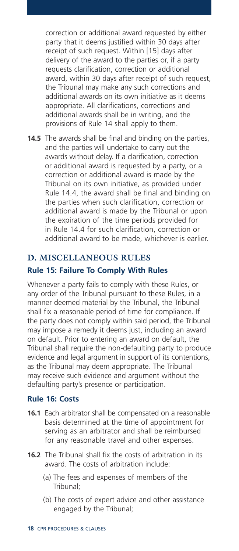correction or additional award requested by either party that it deems justified within 30 days after receipt of such request. Within [15] days after delivery of the award to the parties or, if a party requests clarification, correction or additional award, within 30 days after receipt of such request, the Tribunal may make any such corrections and additional awards on its own initiative as it deems appropriate. All clarifications, corrections and additional awards shall be in writing, and the provisions of Rule 14 shall apply to them.

**14.5** The awards shall be final and binding on the parties, and the parties will undertake to carry out the awards without delay. If a clarification, correction or additional award is requested by a party, or a correction or additional award is made by the Tribunal on its own initiative, as provided under Rule 14.4, the award shall be final and binding on the parties when such clarification, correction or additional award is made by the Tribunal or upon the expiration of the time periods provided for in Rule 14.4 for such clarification, correction or additional award to be made, whichever is earlier.

### **D. MISCELLANEOUS RULES Rule 15: Failure To Comply With Rules**

Whenever a party fails to comply with these Rules, or any order of the Tribunal pursuant to these Rules, in a manner deemed material by the Tribunal, the Tribunal shall fix a reasonable period of time for compliance. If the party does not comply within said period, the Tribunal may impose a remedy it deems just, including an award on default. Prior to entering an award on default, the Tribunal shall require the non-defaulting party to produce evidence and legal argument in support of its contentions, as the Tribunal may deem appropriate. The Tribunal may receive such evidence and argument without the defaulting party's presence or participation.

#### **Rule 16: Costs**

- **16.1** Each arbitrator shall be compensated on a reasonable basis determined at the time of appointment for serving as an arbitrator and shall be reimbursed for any reasonable travel and other expenses.
- **16.2** The Tribunal shall fix the costs of arbitration in its award. The costs of arbitration include:
	- (a) The fees and expenses of members of the Tribunal;
	- (b) The costs of expert advice and other assistance engaged by the Tribunal;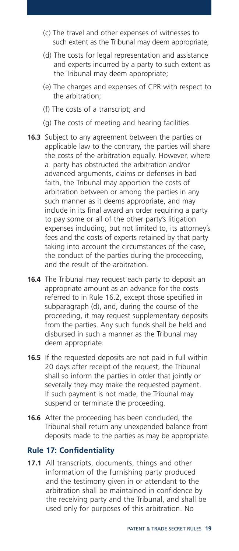- (c) The travel and other expenses of witnesses to such extent as the Tribunal may deem appropriate;
- (d) The costs for legal representation and assistance and experts incurred by a party to such extent as the Tribunal may deem appropriate;
- (e) The charges and expenses of CPR with respect to the arbitration;
- (f) The costs of a transcript; and
- (g) The costs of meeting and hearing facilities.
- **16.3** Subject to any agreement between the parties or applicable law to the contrary, the parties will share the costs of the arbitration equally. However, where a party has obstructed the arbitration and/or advanced arguments, claims or defenses in bad faith, the Tribunal may apportion the costs of arbitration between or among the parties in any such manner as it deems appropriate, and may include in its final award an order requiring a party to pay some or all of the other party's litigation expenses including, but not limited to, its attorney's fees and the costs of experts retained by that party taking into account the circumstances of the case, the conduct of the parties during the proceeding, and the result of the arbitration.
- **16.4** The Tribunal may request each party to deposit an appropriate amount as an advance for the costs referred to in Rule 16.2, except those specified in subparagraph (d), and, during the course of the proceeding, it may request supplementary deposits from the parties. Any such funds shall be held and disbursed in such a manner as the Tribunal may deem appropriate.
- **16.5** If the requested deposits are not paid in full within 20 days after receipt of the request, the Tribunal shall so inform the parties in order that jointly or severally they may make the requested payment. If such payment is not made, the Tribunal may suspend or terminate the proceeding.
- **16.6** After the proceeding has been concluded, the Tribunal shall return any unexpended balance from deposits made to the parties as may be appropriate.

#### **Rule 17: Confidentiality**

**17.1** All transcripts, documents, things and other information of the furnishing party produced and the testimony given in or attendant to the arbitration shall be maintained in confidence by the receiving party and the Tribunal, and shall be used only for purposes of this arbitration. No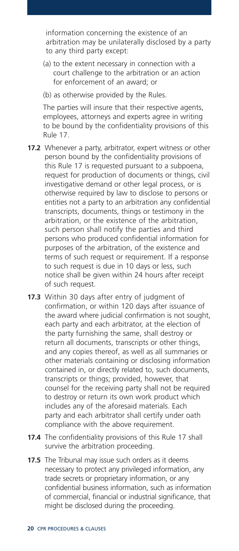information concerning the existence of an arbitration may be unilaterally disclosed by a party to any third party except:

- (a) to the extent necessary in connection with a court challenge to the arbitration or an action for enforcement of an award; or
- (b) as otherwise provided by the Rules.

The parties will insure that their respective agents, employees, attorneys and experts agree in writing to be bound by the confidentiality provisions of this Rule 17.

- **17.2** Whenever a party, arbitrator, expert witness or other person bound by the confidentiality provisions of this Rule 17 is requested pursuant to a subpoena, request for production of documents or things, civil investigative demand or other legal process, or is otherwise required by law to disclose to persons or entities not a party to an arbitration any confidential transcripts, documents, things or testimony in the arbitration, or the existence of the arbitration, such person shall notify the parties and third persons who produced confidential information for purposes of the arbitration, of the existence and terms of such request or requirement. If a response to such request is due in 10 days or less, such notice shall be given within 24 hours after receipt of such request.
- **17.3** Within 30 days after entry of judgment of confirmation, or within 120 days after issuance of the award where judicial confirmation is not sought, each party and each arbitrator, at the election of the party furnishing the same, shall destroy or return all documents, transcripts or other things, and any copies thereof, as well as all summaries or other materials containing or disclosing information contained in, or directly related to, such documents, transcripts or things; provided, however, that counsel for the receiving party shall not be required to destroy or return its own work product which includes any of the aforesaid materials. Each party and each arbitrator shall certify under oath compliance with the above requirement.
- **17.4** The confidentiality provisions of this Rule 17 shall survive the arbitration proceeding.
- **17.5** The Tribunal may issue such orders as it deems necessary to protect any privileged information, any trade secrets or proprietary information, or any confidential business information, such as information of commercial, financial or industrial significance, that might be disclosed during the proceeding.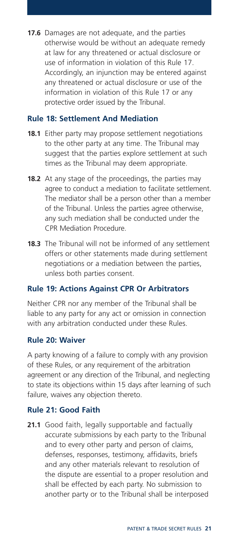**17.6** Damages are not adequate, and the parties otherwise would be without an adequate remedy at law for any threatened or actual disclosure or use of information in violation of this Rule 17. Accordingly, an injunction may be entered against any threatened or actual disclosure or use of the information in violation of this Rule 17 or any protective order issued by the Tribunal.

#### **Rule 18: Settlement And Mediation**

- **18.1** Either party may propose settlement negotiations to the other party at any time. The Tribunal may suggest that the parties explore settlement at such times as the Tribunal may deem appropriate.
- **18.2** At any stage of the proceedings, the parties may agree to conduct a mediation to facilitate settlement. The mediator shall be a person other than a member of the Tribunal. Unless the parties agree otherwise, any such mediation shall be conducted under the CPR Mediation Procedure.
- **18.3** The Tribunal will not be informed of any settlement offers or other statements made during settlement negotiations or a mediation between the parties, unless both parties consent.

#### **Rule 19: Actions Against CPR Or Arbitrators**

Neither CPR nor any member of the Tribunal shall be liable to any party for any act or omission in connection with any arbitration conducted under these Rules.

#### **Rule 20: Waiver**

A party knowing of a failure to comply with any provision of these Rules, or any requirement of the arbitration agreement or any direction of the Tribunal, and neglecting to state its objections within 15 days after learning of such failure, waives any objection thereto.

#### **Rule 21: Good Faith**

21.1 Good faith, legally supportable and factually accurate submissions by each party to the Tribunal and to every other party and person of claims, defenses, responses, testimony, affidavits, briefs and any other materials relevant to resolution of the dispute are essential to a proper resolution and shall be effected by each party. No submission to another party or to the Tribunal shall be interposed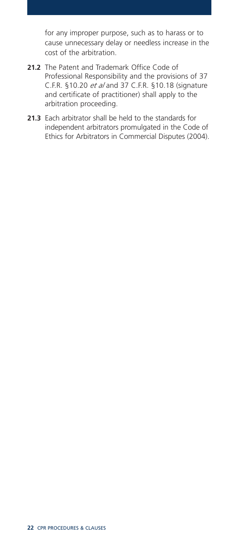for any improper purpose, such as to harass or to cause unnecessary delay or needless increase in the cost of the arbitration.

- **21.2** The Patent and Trademark Office Code of Professional Responsibility and the provisions of 37 C.F.R. §10.20 *et al* and 37 C.F.R. §10.18 (signature and certificate of practitioner) shall apply to the arbitration proceeding.
- **21.3** Each arbitrator shall be held to the standards for independent arbitrators promulgated in the Code of Ethics for Arbitrators in Commercial Disputes (2004).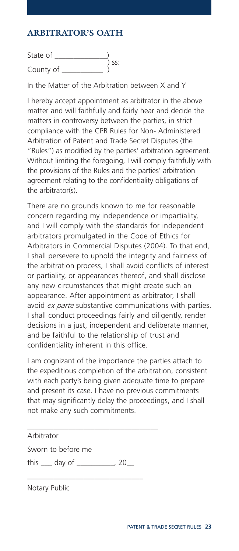### **ARBITRATOR'S OATH**

State of \_\_\_\_\_\_\_\_\_\_\_\_\_\_)  $\longrightarrow$ <br> $\left\langle \begin{array}{c} 0 \\ 0 \end{array} \right\rangle$  ss: County of

In the Matter of the Arbitration between X and Y

I hereby accept appointment as arbitrator in the above matter and will faithfully and fairly hear and decide the matters in controversy between the parties, in strict compliance with the CPR Rules for Non- Administered Arbitration of Patent and Trade Secret Disputes (the "Rules") as modified by the parties' arbitration agreement. Without limiting the foregoing, I will comply faithfully with the provisions of the Rules and the parties' arbitration agreement relating to the confidentiality obligations of the arbitrator(s).

There are no grounds known to me for reasonable concern regarding my independence or impartiality, and I will comply with the standards for independent arbitrators promulgated in the Code of Ethics for Arbitrators in Commercial Disputes (2004). To that end, I shall persevere to uphold the integrity and fairness of the arbitration process, I shall avoid conflicts of interest or partiality, or appearances thereof, and shall disclose any new circumstances that might create such an appearance. After appointment as arbitrator, I shall avoid *ex parte* substantive communications with parties. I shall conduct proceedings fairly and diligently, render decisions in a just, independent and deliberate manner, and be faithful to the relationship of trust and confidentiality inherent in this office.

I am cognizant of the importance the parties attach to the expeditious completion of the arbitration, consistent with each party's being given adequate time to prepare and present its case. I have no previous commitments that may significantly delay the proceedings, and I shall not make any such commitments.

Arbitrator

Sworn to before me

this \_\_\_ day of \_\_\_\_\_\_\_\_\_\_, 20\_\_

\_\_\_\_\_\_\_\_\_\_\_\_\_\_\_\_\_\_\_\_\_\_\_\_\_\_\_\_\_\_\_

\_\_\_\_\_\_\_\_\_\_\_\_\_\_\_\_\_\_\_\_\_\_\_\_\_\_\_\_\_\_\_\_\_\_\_

Notary Public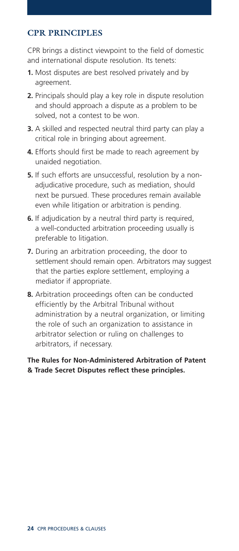#### **CPR PRINCIPLES**

CPR brings a distinct viewpoint to the field of domestic and international dispute resolution. Its tenets:

- **1.** Most disputes are best resolved privately and by agreement.
- **2.** Principals should play a key role in dispute resolution and should approach a dispute as a problem to be solved, not a contest to be won.
- **3.** A skilled and respected neutral third party can play a critical role in bringing about agreement.
- **4.** Efforts should first be made to reach agreement by unaided negotiation.
- **5.** If such efforts are unsuccessful, resolution by a nonadjudicative procedure, such as mediation, should next be pursued. These procedures remain available even while litigation or arbitration is pending.
- **6.** If adjudication by a neutral third party is required, a well-conducted arbitration proceeding usually is preferable to litigation.
- **7.** During an arbitration proceeding, the door to settlement should remain open. Arbitrators may suggest that the parties explore settlement, employing a mediator if appropriate.
- **8.** Arbitration proceedings often can be conducted efficiently by the Arbitral Tribunal without administration by a neutral organization, or limiting the role of such an organization to assistance in arbitrator selection or ruling on challenges to arbitrators, if necessary.

**The Rules for Non-Administered Arbitration of Patent & Trade Secret Disputes reflect these principles.**